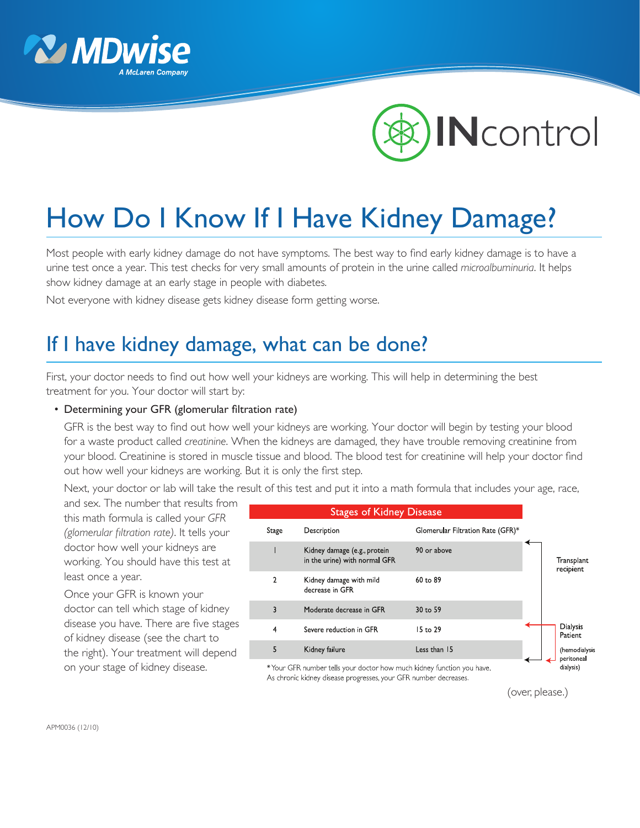



## How Do I Know If I Have Kidney Damage?

Most people with early kidney damage do not have symptoms. The best way to find early kidney damage is to have a urine test once a year. This test checks for very small amounts of protein in the urine called *microalbuminuria*. It helps show kidney damage at an early stage in people with diabetes.

Not everyone with kidney disease gets kidney disease form getting worse.

## If I have kidney damage, what can be done?

First, your doctor needs to find out how well your kidneys are working. This will help in determining the best treatment for you. Your doctor will start by:

## • Determining your GFR (glomerular filtration rate)

GFR is the best way to find out how well your kidneys are working. Your doctor will begin by testing your blood for a waste product called *creatinine*. When the kidneys are damaged, they have trouble removing creatinine from your blood. Creatinine is stored in muscle tissue and blood. The blood test for creatinine will help your doctor find out how well your kidneys are working. But it is only the first step.

Next, your doctor or lab will take the result of this test and put it into a math formula that includes your age, race,

and sex. The number that results from this math formula is called your *GFR (glomerular filtration rate)*. It tells your doctor how well your kidneys are working. You should have this test at least once a year.

Once your GFR is known your doctor can tell which stage of kidney disease you have. There are five stages of kidney disease (see the chart to the right). Your treatment will depend on your stage of kidney disease.

| <b>Stages of Kidney Disease</b> |                |                                                                      |                                   |  |                             |
|---------------------------------|----------------|----------------------------------------------------------------------|-----------------------------------|--|-----------------------------|
|                                 | Stage          | Description                                                          | Glomerular Filtration Rate (GFR)* |  |                             |
|                                 |                | Kidney damage (e.g., protein<br>in the urine) with normal GFR        | 90 or above                       |  | Transplant<br>recipient     |
|                                 | $\overline{2}$ | Kidney damage with mild<br>decrease in GFR                           | 60 to 89                          |  |                             |
|                                 | 3              | Moderate decrease in GFR                                             | 30 to 59                          |  |                             |
|                                 | $\overline{4}$ | Severe reduction in GFR                                              | 15 to 29                          |  | Dialysis<br>Patient         |
|                                 | 5              | Kidney failure                                                       | Less than 15                      |  | (hemodialysis<br>peritoneal |
|                                 |                | *Your CER number tells your doctor bow much kidney function you baye |                                   |  | dialvsis)                   |

Your GFK number tells your doctor how much kidney function you have. As chronic kidney disease progresses, your GFR number decreases.

(over, please.)